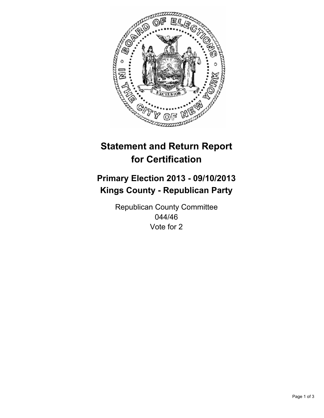

# **Statement and Return Report for Certification**

## **Primary Election 2013 - 09/10/2013 Kings County - Republican Party**

Republican County Committee 044/46 Vote for 2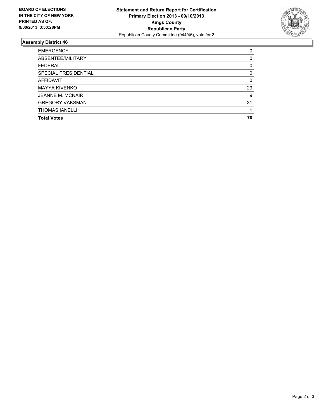

#### **Assembly District 46**

| <b>EMERGENCY</b>            | 0  |
|-----------------------------|----|
| ABSENTEE/MILITARY           | 0  |
| <b>FEDERAL</b>              | 0  |
| <b>SPECIAL PRESIDENTIAL</b> | 0  |
| <b>AFFIDAVIT</b>            | 0  |
| <b>MAYYA KIVENKO</b>        | 29 |
| <b>JEANNE M. MCNAIR</b>     | 9  |
| <b>GREGORY VAKSMAN</b>      | 31 |
| <b>THOMAS IANELLI</b>       |    |
| <b>Total Votes</b>          | 70 |